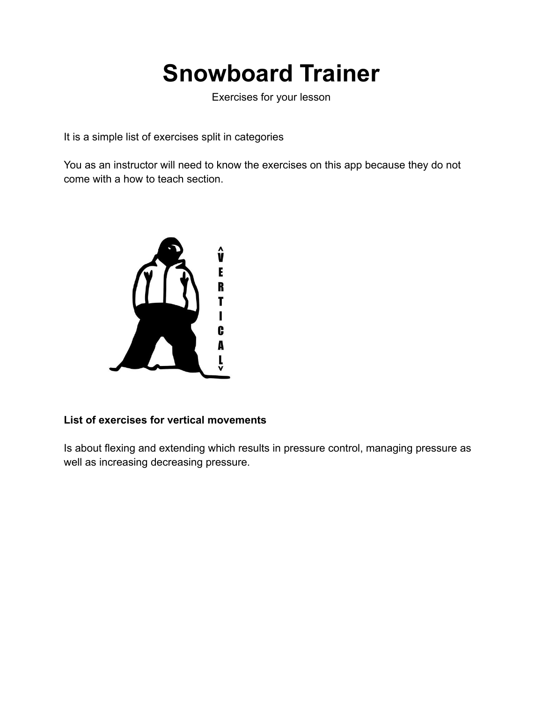## **Snowboard Trainer**

Exercises for your lesson

It is a simple list of exercises split in categories

You as an instructor will need to know the exercises on this app because they do not come with a how to teach section.



### **List of exercises for vertical movements**

Is about flexing and extending which results in pressure control, managing pressure as well as increasing decreasing pressure.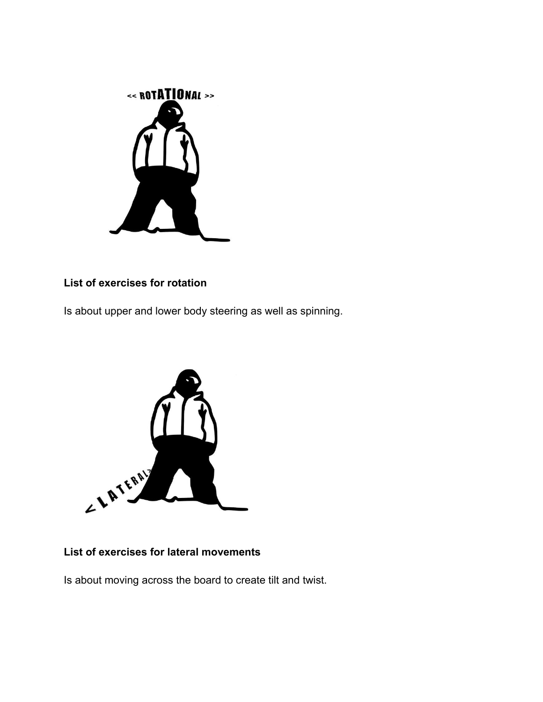

#### **List of exercises for rotation**

Is about upper and lower body steering as well as spinning.



## **List of exercises for lateral movements**

Is about moving across the board to create tilt and twist.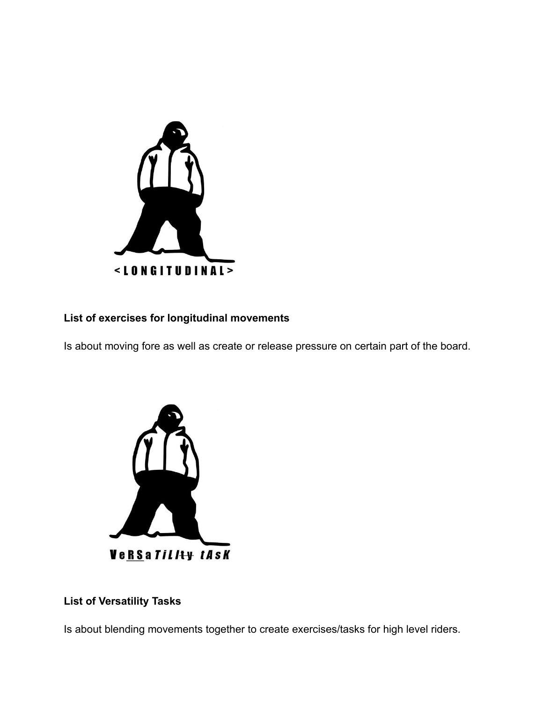

### **List of exercises for longitudinal movements**

Is about moving fore as well as create or release pressure on certain part of the board.



## **List of Versatility Tasks**

Is about blending movements together to create exercises/tasks for high level riders.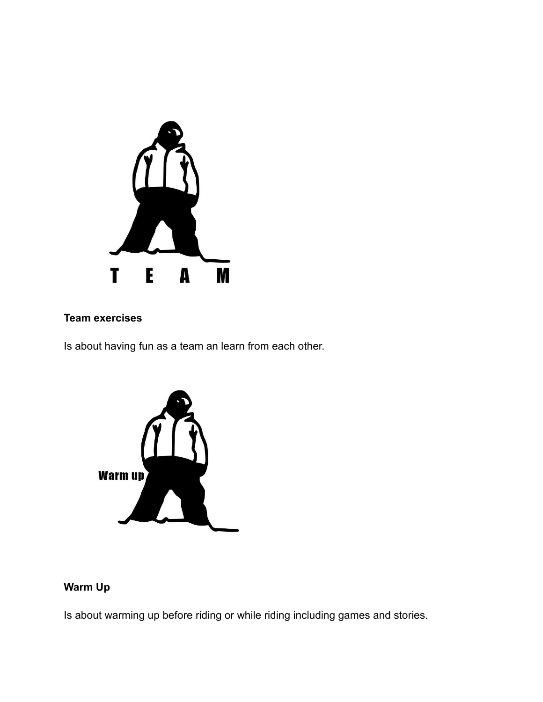

#### **Team exercises**

Is about having fun as a team an learn from each other.



## **Warm Up**

Is about warming up before riding or while riding including games and stories.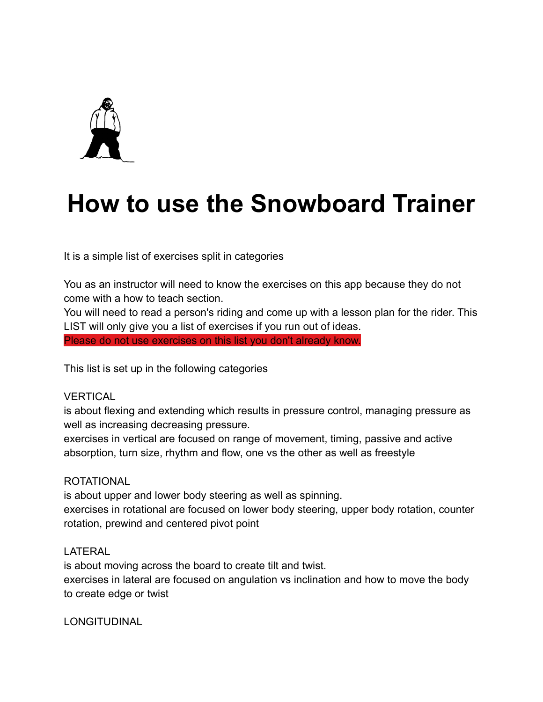

## **How to use the Snowboard Trainer**

It is a simple list of exercises split in categories

You as an instructor will need to know the exercises on this app because they do not come with a how to teach section.

You will need to read a person's riding and come up with a lesson plan for the rider. This LIST will only give you a list of exercises if you run out of ideas. Please do not use exercises on this list you don't already know.

This list is set up in the following categories

rotation, prewind and centered pivot point

#### **VERTICAL**

is about flexing and extending which results in pressure control, managing pressure as well as increasing decreasing pressure.

exercises in vertical are focused on range of movement, timing, passive and active absorption, turn size, rhythm and flow, one vs the other as well as freestyle

#### ROTATIONAL

is about upper and lower body steering as well as spinning. exercises in rotational are focused on lower body steering, upper body rotation, counter

#### LATERAL

is about moving across the board to create tilt and twist. exercises in lateral are focused on angulation vs inclination and how to move the body to create edge or twist

LONGITUDINAL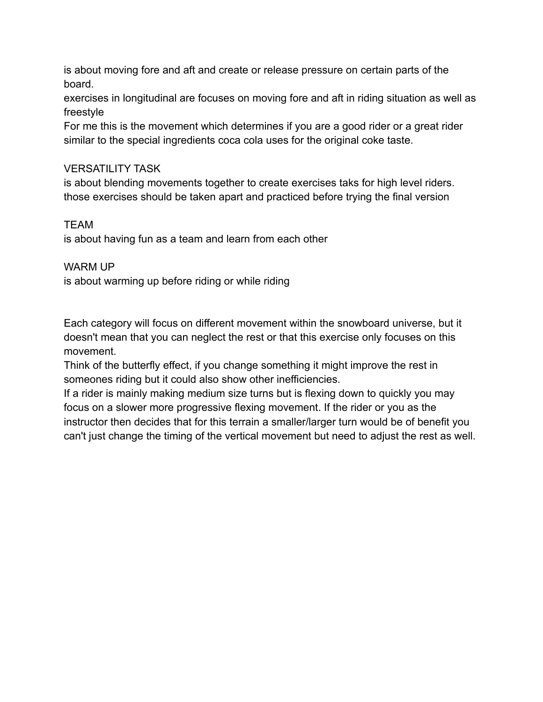is about moving fore and aft and create or release pressure on certain parts of the board.

exercises in longitudinal are focuses on moving fore and aft in riding situation as well as freestyle

For me this is the movement which determines if you are a good rider or a great rider similar to the special ingredients coca cola uses for the original coke taste.

### VERSATILITY TASK

is about blending movements together to create exercises taks for high level riders. those exercises should be taken apart and practiced before trying the final version

### TEAM

is about having fun as a team and learn from each other

### WARM UP

is about warming up before riding or while riding

Each category will focus on different movement within the snowboard universe, but it doesn't mean that you can neglect the rest or that this exercise only focuses on this movement.

Think of the butterfly effect, if you change something it might improve the rest in someones riding but it could also show other inefficiencies.

If a rider is mainly making medium size turns but is flexing down to quickly you may focus on a slower more progressive flexing movement. If the rider or you as the instructor then decides that for this terrain a smaller/larger turn would be of benefit you can't just change the timing of the vertical movement but need to adjust the rest as well.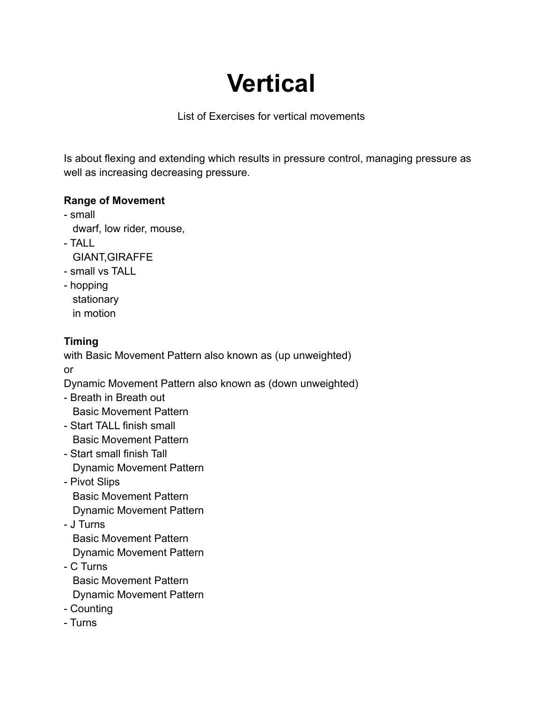# **Vertical**

List of Exercises for vertical movements

Is about flexing and extending which results in pressure control, managing pressure as well as increasing decreasing pressure.

### **Range of Movement**

- small

dwarf, low rider, mouse,

- TALL

GIANT,GIRAFFE

- small vs TALL
- hopping stationary in motion

## **Timing**

with Basic Movement Pattern also known as (up unweighted) or

Dynamic Movement Pattern also known as (down unweighted)

- Breath in Breath out Basic Movement Pattern
- Start TALL finish small Basic Movement Pattern
- Start small finish Tall Dynamic Movement Pattern
- Pivot Slips Basic Movement Pattern Dynamic Movement Pattern
- J Turns

Basic Movement Pattern

Dynamic Movement Pattern - C Turns Basic Movement Pattern

Dynamic Movement Pattern

- Counting
- Turns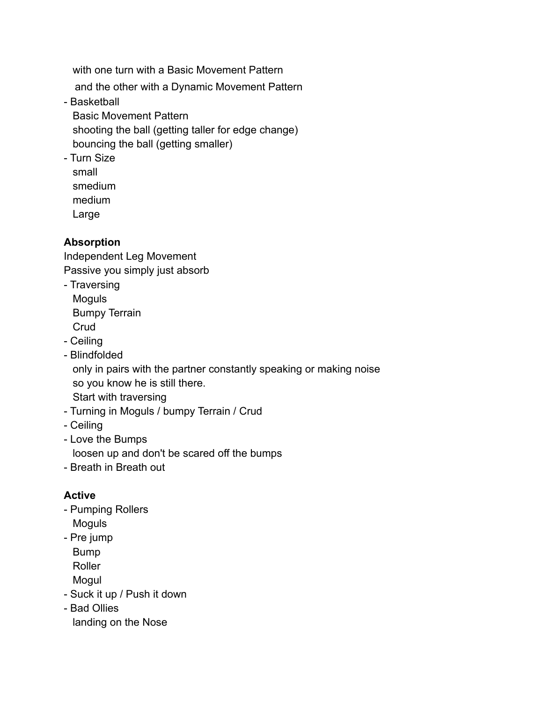with one turn with a Basic Movement Pattern

and the other with a Dynamic Movement Pattern

- Basketball

Basic Movement Pattern shooting the ball (getting taller for edge change) bouncing the ball (getting smaller)

- Turn Size small smedium medium

Large

## **Absorption**

Independent Leg Movement Passive you simply just absorb

- Traversing Moguls

Bumpy Terrain

- Crud
- Ceiling
- Blindfolded

only in pairs with the partner constantly speaking or making noise so you know he is still there.

Start with traversing

- Turning in Moguls / bumpy Terrain / Crud
- Ceiling
- Love the Bumps

loosen up and don't be scared off the bumps

- Breath in Breath out

## **Active**

- Pumping Rollers Moguls
- Pre jump
- Bump

Roller

Mogul

- Suck it up / Push it down
- Bad Ollies

landing on the Nose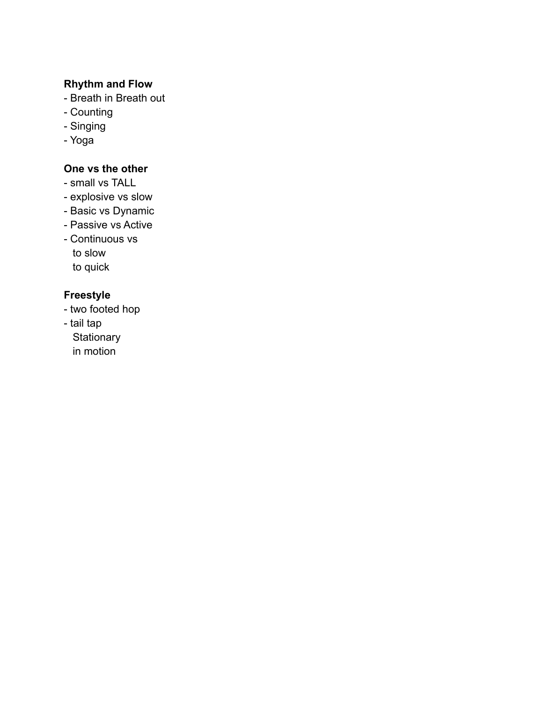#### **Rhythm and Flow**

- Breath in Breath out
- Counting
- Singing
- Yoga

## **One vs the other**

- small vs TALL
- explosive vs slow
- Basic vs Dynamic
- Passive vs Active
- Continuous vs to slow to quick

## **Freestyle**

- two footed hop
- tail tap
	- **Stationary**
	- in motion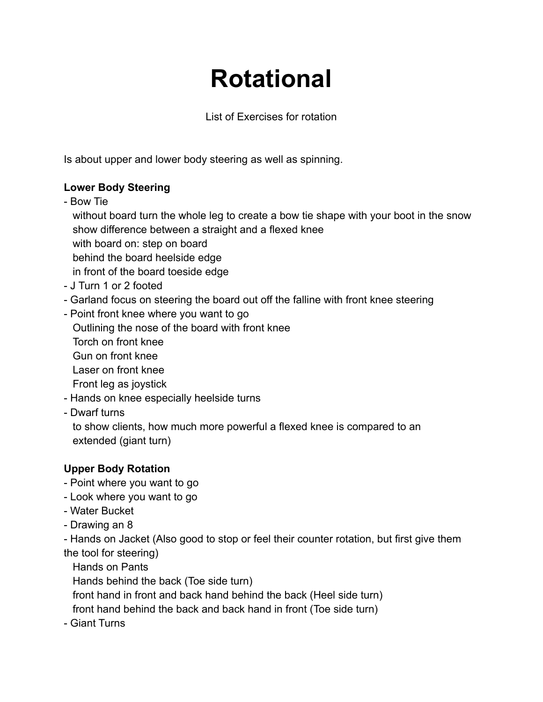# **Rotational**

List of Exercises for rotation

Is about upper and lower body steering as well as spinning.

## **Lower Body Steering**

- Bow Tie

without board turn the whole leg to create a bow tie shape with your boot in the snow show difference between a straight and a flexed knee with board on: step on board behind the board heelside edge in front of the board toeside edge

- J Turn 1 or 2 footed
- Garland focus on steering the board out off the falline with front knee steering
- Point front knee where you want to go Outlining the nose of the board with front knee Torch on front knee Gun on front knee Laser on front knee Front leg as joystick - Hands on knee especially heelside turns
- Dwarf turns

to show clients, how much more powerful a flexed knee is compared to an extended (giant turn)

## **Upper Body Rotation**

- Point where you want to go
- Look where you want to go
- Water Bucket
- Drawing an 8

- Hands on Jacket (Also good to stop or feel their counter rotation, but first give them the tool for steering)

Hands on Pants

Hands behind the back (Toe side turn)

front hand in front and back hand behind the back (Heel side turn)

front hand behind the back and back hand in front (Toe side turn)

- Giant Turns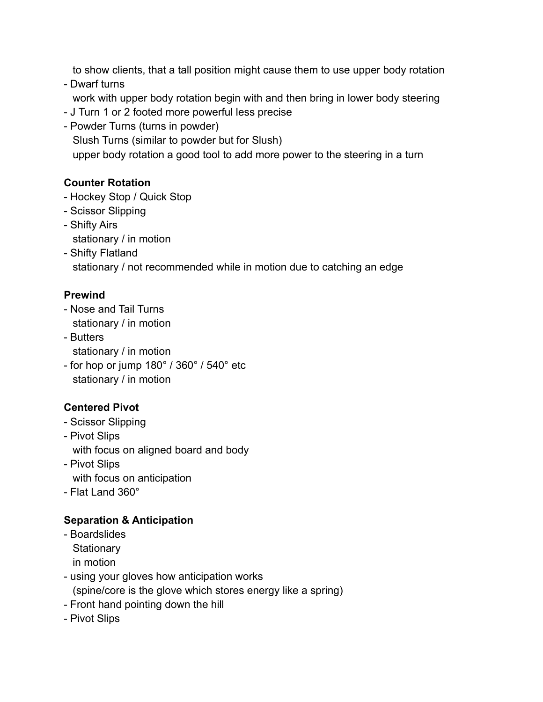to show clients, that a tall position might cause them to use upper body rotation

- Dwarf turns work with upper body rotation begin with and then bring in lower body steering
- J Turn 1 or 2 footed more powerful less precise
- Powder Turns (turns in powder) Slush Turns (similar to powder but for Slush) upper body rotation a good tool to add more power to the steering in a turn

## **Counter Rotation**

- Hockey Stop / Quick Stop
- Scissor Slipping
- Shifty Airs stationary / in motion
- Shifty Flatland stationary / not recommended while in motion due to catching an edge

## **Prewind**

- Nose and Tail Turns stationary / in motion
- Butters stationary / in motion
- for hop or jump 180° / 360° / 540° etc stationary / in motion

## **Centered Pivot**

- Scissor Slipping
- Pivot Slips with focus on aligned board and body
- Pivot Slips with focus on anticipation
- Flat Land 360°

## **Separation & Anticipation**

- Boardslides **Stationary** in motion
- using your gloves how anticipation works (spine/core is the glove which stores energy like a spring)
- Front hand pointing down the hill
- Pivot Slips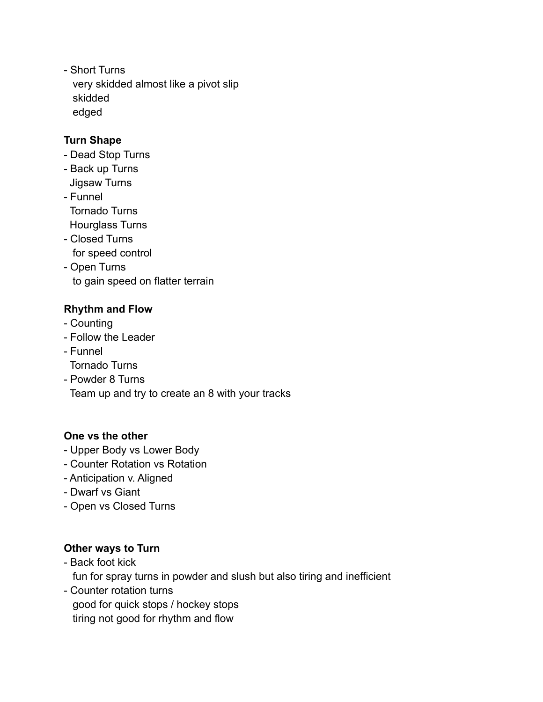- Short Turns very skidded almost like a pivot slip skidded edged

### **Turn Shape**

- Dead Stop Turns
- Back up Turns Jigsaw Turns
- Funnel Tornado Turns
- Hourglass Turns
- Closed Turns for speed control
- Open Turns to gain speed on flatter terrain

## **Rhythm and Flow**

- Counting
- Follow the Leader
- Funnel
- Tornado Turns
- Powder 8 Turns

Team up and try to create an 8 with your tracks

## **One vs the other**

- Upper Body vs Lower Body
- Counter Rotation vs Rotation
- Anticipation v. Aligned
- Dwarf vs Giant
- Open vs Closed Turns

## **Other ways to Turn**

- Back foot kick

fun for spray turns in powder and slush but also tiring and inefficient

- Counter rotation turns good for quick stops / hockey stops tiring not good for rhythm and flow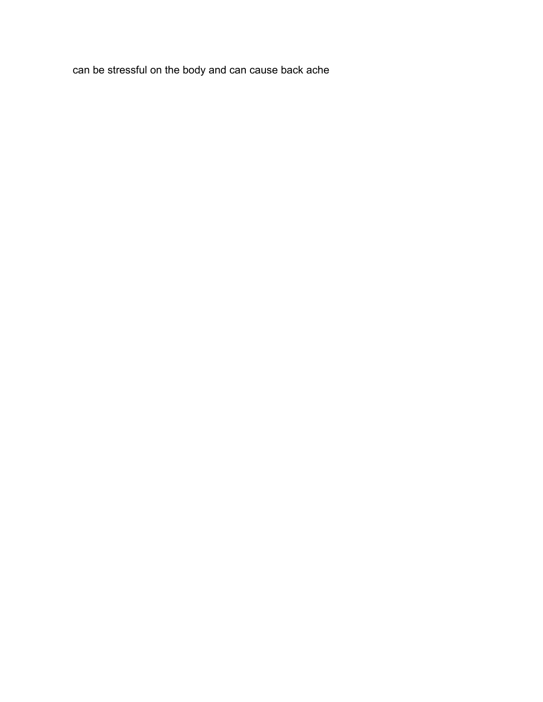can be stressful on the body and can cause back ache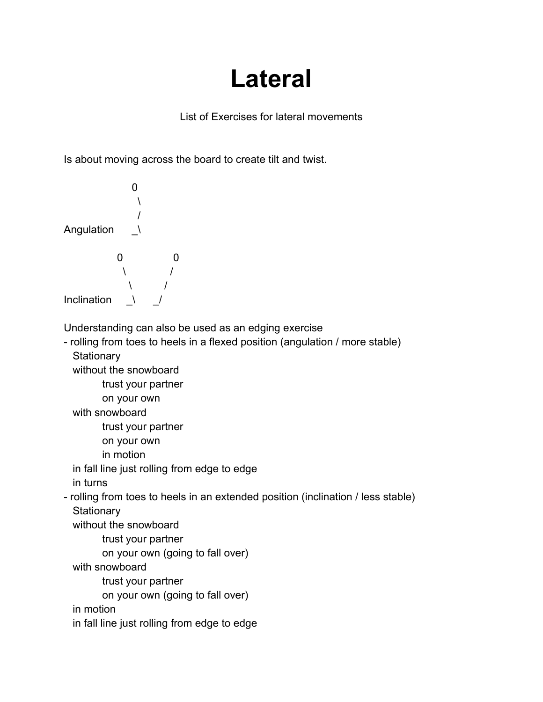# **Lateral**

List of Exercises for lateral movements

Is about moving across the board to create tilt and twist.

 $\Omega$  $\overline{\phantom{a}}$ / Angulation \ 0 0  $\sqrt{ }$  $\mathcal{N}$ Inclination  $\sqrt{ }$ Understanding can also be used as an edging exercise - rolling from toes to heels in a flexed position (angulation / more stable) **Stationary** without the snowboard trust your partner on your own with snowboard trust your partner on your own in motion in fall line just rolling from edge to edge in turns - rolling from toes to heels in an extended position (inclination / less stable) **Stationary** without the snowboard trust your partner on your own (going to fall over) with snowboard trust your partner on your own (going to fall over) in motion in fall line just rolling from edge to edge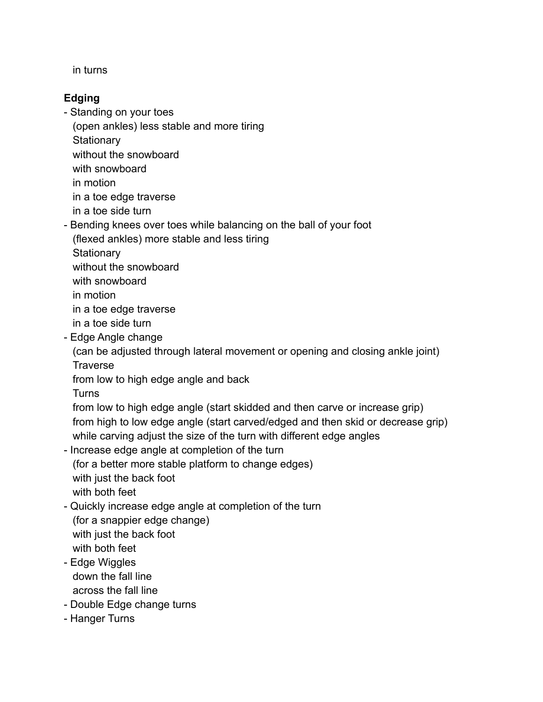in turns

## **Edging**

- Standing on your toes
	- (open ankles) less stable and more tiring
	- **Stationary**
	- without the snowboard
	- with snowboard
	- in motion
	- in a toe edge traverse
	- in a toe side turn
- Bending knees over toes while balancing on the ball of your foot
	- (flexed ankles) more stable and less tiring
	- **Stationary**
	- without the snowboard
	- with snowboard
	- in motion
	- in a toe edge traverse
	- in a toe side turn
- Edge Angle change
	- (can be adjusted through lateral movement or opening and closing ankle joint) **Traverse**
	- from low to high edge angle and back
	- Turns

from low to high edge angle (start skidded and then carve or increase grip) from high to low edge angle (start carved/edged and then skid or decrease grip) while carving adjust the size of the turn with different edge angles

- Increase edge angle at completion of the turn (for a better more stable platform to change edges) with just the back foot with both feet
- Quickly increase edge angle at completion of the turn (for a snappier edge change) with just the back foot with both feet
- Edge Wiggles down the fall line across the fall line
- Double Edge change turns
- Hanger Turns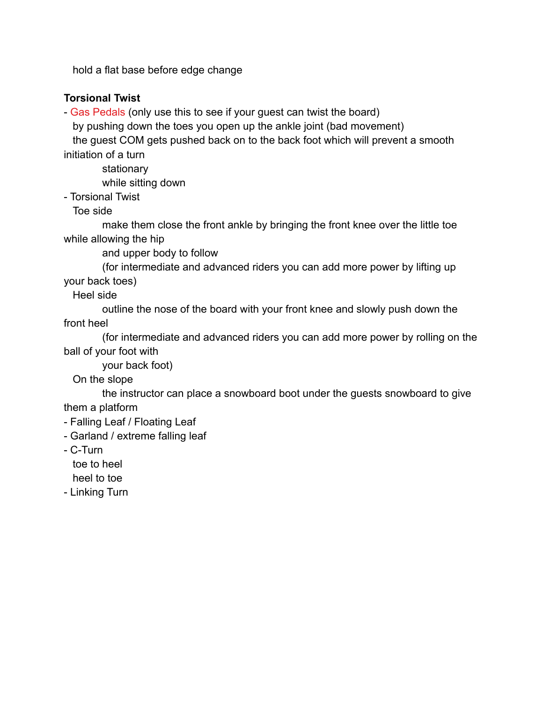hold a flat base before edge change

#### **Torsional Twist**

- Gas Pedals (only use this to see if your guest can twist the board)

by pushing down the toes you open up the ankle joint (bad movement)

the guest COM gets pushed back on to the back foot which will prevent a smooth initiation of a turn

stationary

while sitting down

- Torsional Twist

Toe side

make them close the front ankle by bringing the front knee over the little toe while allowing the hip

and upper body to follow

(for intermediate and advanced riders you can add more power by lifting up your back toes)

Heel side

outline the nose of the board with your front knee and slowly push down the front heel

(for intermediate and advanced riders you can add more power by rolling on the ball of your foot with

your back foot)

On the slope

the instructor can place a snowboard boot under the guests snowboard to give them a platform

- Falling Leaf / Floating Leaf
- Garland / extreme falling leaf
- C-Turn

toe to heel

heel to toe

- Linking Turn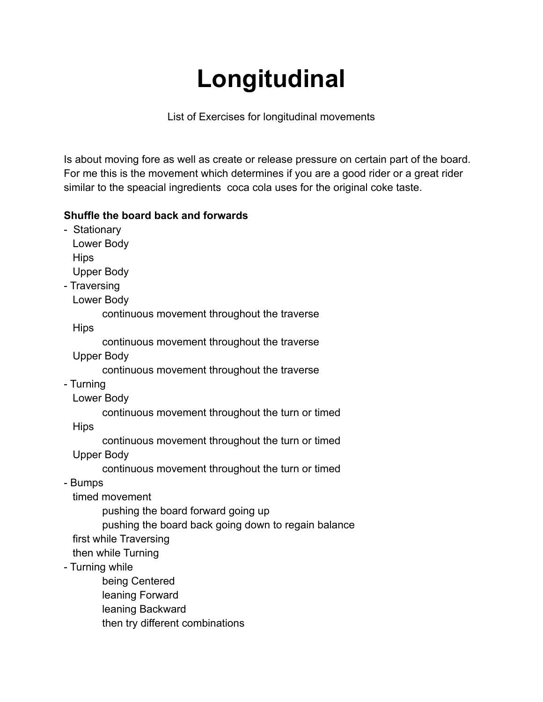# **Longitudinal**

List of Exercises for longitudinal movements

Is about moving fore as well as create or release pressure on certain part of the board. For me this is the movement which determines if you are a good rider or a great rider similar to the speacial ingredients coca cola uses for the original coke taste.

## **Shuffle the board back and forwards**

- Stationary Lower Body **Hips** Upper Body - Traversing Lower Body continuous movement throughout the traverse Hips continuous movement throughout the traverse Upper Body continuous movement throughout the traverse - Turning Lower Body continuous movement throughout the turn or timed Hips continuous movement throughout the turn or timed Upper Body continuous movement throughout the turn or timed - Bumps timed movement pushing the board forward going up pushing the board back going down to regain balance first while Traversing then while Turning - Turning while being Centered leaning Forward leaning Backward then try different combinations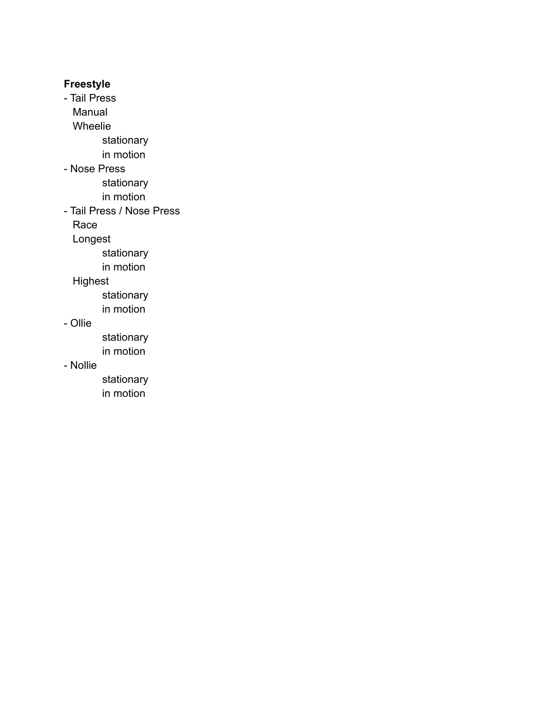### **Freestyle**

- Tail Press Manual Wheelie stationary in motion - Nose Press stationary in motion - Tail Press / Nose Press Race Longest stationary in motion Highest stationary in motion

#### - Ollie

stationary in motion

## - Nollie

stationary in motion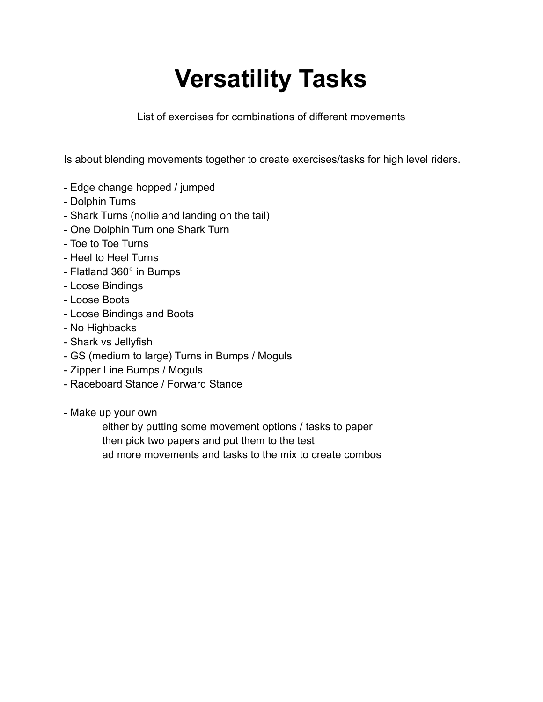# **Versatility Tasks**

List of exercises for combinations of different movements

Is about blending movements together to create exercises/tasks for high level riders.

- Edge change hopped / jumped
- Dolphin Turns
- Shark Turns (nollie and landing on the tail)
- One Dolphin Turn one Shark Turn
- Toe to Toe Turns
- Heel to Heel Turns
- Flatland 360° in Bumps
- Loose Bindings
- Loose Boots
- Loose Bindings and Boots
- No Highbacks
- Shark vs Jellyfish
- GS (medium to large) Turns in Bumps / Moguls
- Zipper Line Bumps / Moguls
- Raceboard Stance / Forward Stance
- Make up your own

either by putting some movement options / tasks to paper then pick two papers and put them to the test ad more movements and tasks to the mix to create combos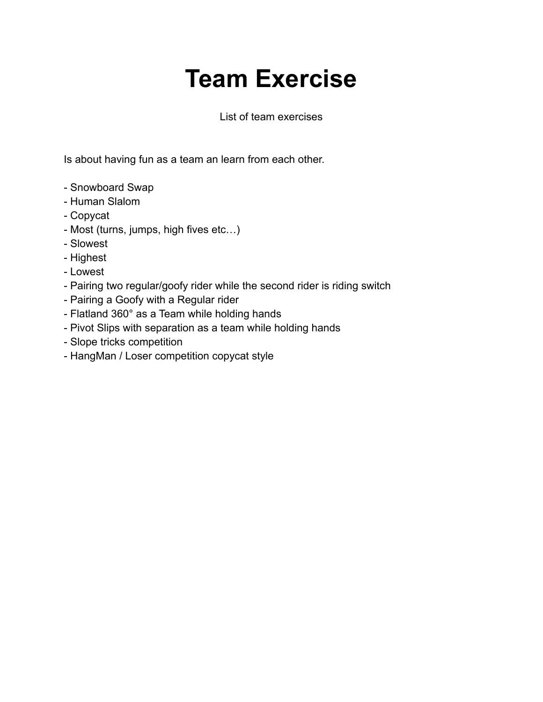# **Team Exercise**

#### List of team exercises

Is about having fun as a team an learn from each other.

- Snowboard Swap
- Human Slalom
- Copycat
- Most (turns, jumps, high fives etc…)
- Slowest
- Highest
- Lowest
- Pairing two regular/goofy rider while the second rider is riding switch
- Pairing a Goofy with a Regular rider
- Flatland 360° as a Team while holding hands
- Pivot Slips with separation as a team while holding hands
- Slope tricks competition
- HangMan / Loser competition copycat style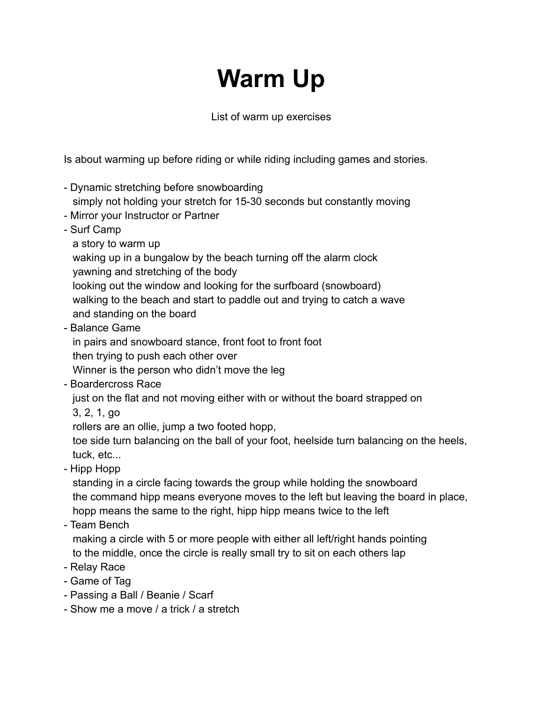# **Warm Up**

List of warm up exercises

Is about warming up before riding or while riding including games and stories.

- Dynamic stretching before snowboarding simply not holding your stretch for 15-30 seconds but constantly moving
- Mirror your Instructor or Partner
- Surf Camp
	- a story to warm up

waking up in a bungalow by the beach turning off the alarm clock

yawning and stretching of the body

looking out the window and looking for the surfboard (snowboard)

- walking to the beach and start to paddle out and trying to catch a wave and standing on the board
- Balance Game

in pairs and snowboard stance, front foot to front foot

then trying to push each other over

Winner is the person who didn't move the leg

- Boardercross Race

just on the flat and not moving either with or without the board strapped on

3, 2, 1, go

rollers are an ollie, jump a two footed hopp,

toe side turn balancing on the ball of your foot, heelside turn balancing on the heels, tuck, etc...

- Hipp Hopp

standing in a circle facing towards the group while holding the snowboard the command hipp means everyone moves to the left but leaving the board in place, hopp means the same to the right, hipp hipp means twice to the left

- Team Bench

making a circle with 5 or more people with either all left/right hands pointing to the middle, once the circle is really small try to sit on each others lap

- Relay Race
- Game of Tag
- Passing a Ball / Beanie / Scarf
- Show me a move / a trick / a stretch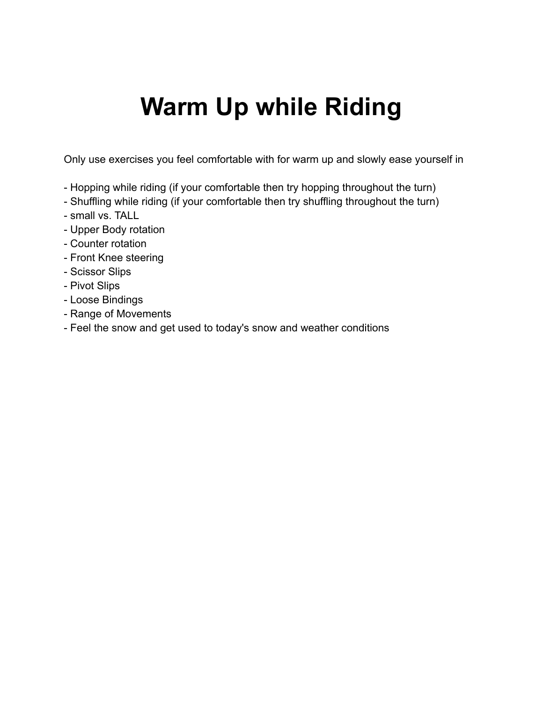# **Warm Up while Riding**

Only use exercises you feel comfortable with for warm up and slowly ease yourself in

- Hopping while riding (if your comfortable then try hopping throughout the turn)
- Shuffling while riding (if your comfortable then try shuffling throughout the turn)
- small vs. TALL
- Upper Body rotation
- Counter rotation
- Front Knee steering
- Scissor Slips
- Pivot Slips
- Loose Bindings
- Range of Movements
- Feel the snow and get used to today's snow and weather conditions